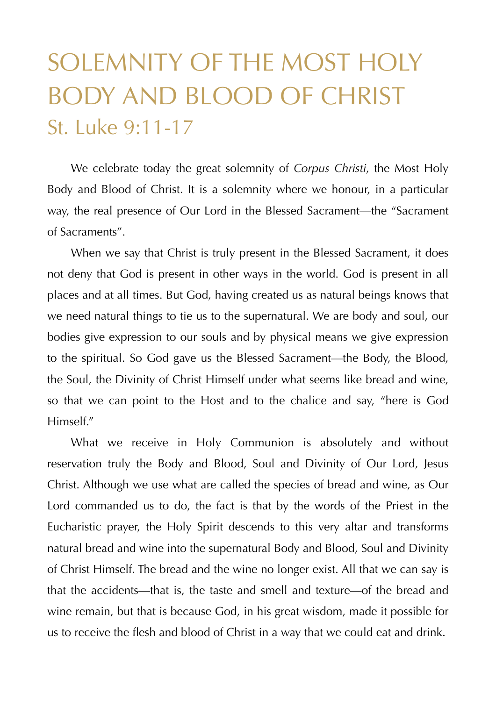## SOLEMNITY OF THE MOST HOLY BODY AND BLOOD OF CHRIST St. Luke 9:11-17

 We celebrate today the great solemnity of *Corpus Christi*, the Most Holy Body and Blood of Christ. It is a solemnity where we honour, in a particular way, the real presence of Our Lord in the Blessed Sacrament—the "Sacrament of Sacraments".

 When we say that Christ is truly present in the Blessed Sacrament, it does not deny that God is present in other ways in the world. God is present in all places and at all times. But God, having created us as natural beings knows that we need natural things to tie us to the supernatural. We are body and soul, our bodies give expression to our souls and by physical means we give expression to the spiritual. So God gave us the Blessed Sacrament—the Body, the Blood, the Soul, the Divinity of Christ Himself under what seems like bread and wine, so that we can point to the Host and to the chalice and say, "here is God Himself<sup>"</sup>

 What we receive in Holy Communion is absolutely and without reservation truly the Body and Blood, Soul and Divinity of Our Lord, Jesus Christ. Although we use what are called the species of bread and wine, as Our Lord commanded us to do, the fact is that by the words of the Priest in the Eucharistic prayer, the Holy Spirit descends to this very altar and transforms natural bread and wine into the supernatural Body and Blood, Soul and Divinity of Christ Himself. The bread and the wine no longer exist. All that we can say is that the accidents—that is, the taste and smell and texture—of the bread and wine remain, but that is because God, in his great wisdom, made it possible for us to receive the flesh and blood of Christ in a way that we could eat and drink.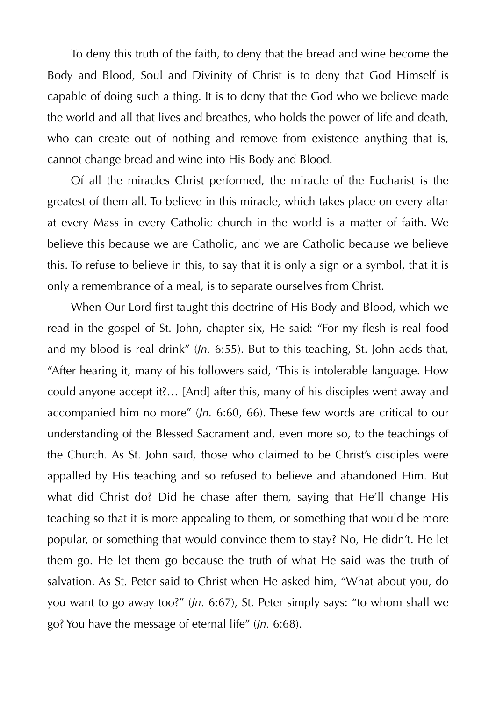To deny this truth of the faith, to deny that the bread and wine become the Body and Blood, Soul and Divinity of Christ is to deny that God Himself is capable of doing such a thing. It is to deny that the God who we believe made the world and all that lives and breathes, who holds the power of life and death, who can create out of nothing and remove from existence anything that is, cannot change bread and wine into His Body and Blood.

 Of all the miracles Christ performed, the miracle of the Eucharist is the greatest of them all. To believe in this miracle, which takes place on every altar at every Mass in every Catholic church in the world is a matter of faith. We believe this because we are Catholic, and we are Catholic because we believe this. To refuse to believe in this, to say that it is only a sign or a symbol, that it is only a remembrance of a meal, is to separate ourselves from Christ.

 When Our Lord first taught this doctrine of His Body and Blood, which we read in the gospel of St. John, chapter six, He said: "For my flesh is real food and my blood is real drink" (*Jn.* 6:55). But to this teaching, St. John adds that, "After hearing it, many of his followers said, 'This is intolerable language. How could anyone accept it?… [And] after this, many of his disciples went away and accompanied him no more" (*Jn.* 6:60, 66). These few words are critical to our understanding of the Blessed Sacrament and, even more so, to the teachings of the Church. As St. John said, those who claimed to be Christ's disciples were appalled by His teaching and so refused to believe and abandoned Him. But what did Christ do? Did he chase after them, saying that He'll change His teaching so that it is more appealing to them, or something that would be more popular, or something that would convince them to stay? No, He didn't. He let them go. He let them go because the truth of what He said was the truth of salvation. As St. Peter said to Christ when He asked him, "What about you, do you want to go away too?" (*Jn.* 6:67), St. Peter simply says: "to whom shall we go? You have the message of eternal life" (*Jn.* 6:68).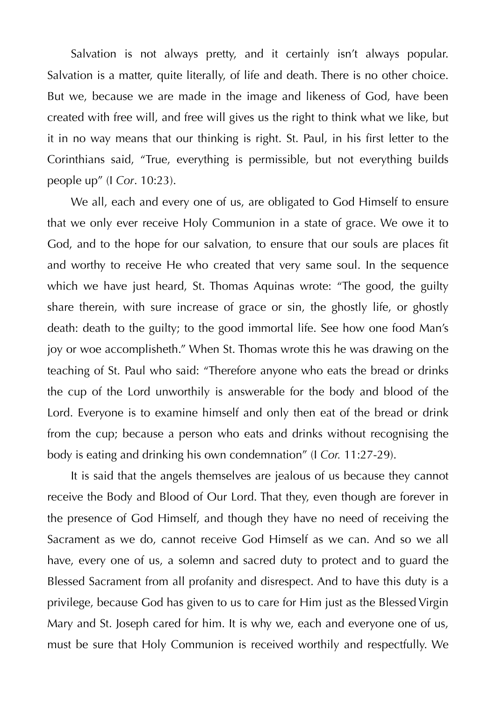Salvation is not always pretty, and it certainly isn't always popular. Salvation is a matter, quite literally, of life and death. There is no other choice. But we, because we are made in the image and likeness of God, have been created with free will, and free will gives us the right to think what we like, but it in no way means that our thinking is right. St. Paul, in his first letter to the Corinthians said, "True, everything is permissible, but not everything builds people up" (I *Cor*. 10:23).

 We all, each and every one of us, are obligated to God Himself to ensure that we only ever receive Holy Communion in a state of grace. We owe it to God, and to the hope for our salvation, to ensure that our souls are places fit and worthy to receive He who created that very same soul. In the sequence which we have just heard, St. Thomas Aquinas wrote: "The good, the guilty share therein, with sure increase of grace or sin, the ghostly life, or ghostly death: death to the guilty; to the good immortal life. See how one food Man's joy or woe accomplisheth." When St. Thomas wrote this he was drawing on the teaching of St. Paul who said: "Therefore anyone who eats the bread or drinks the cup of the Lord unworthily is answerable for the body and blood of the Lord. Everyone is to examine himself and only then eat of the bread or drink from the cup; because a person who eats and drinks without recognising the body is eating and drinking his own condemnation" (I *Cor.* 11:27-29).

 It is said that the angels themselves are jealous of us because they cannot receive the Body and Blood of Our Lord. That they, even though are forever in the presence of God Himself, and though they have no need of receiving the Sacrament as we do, cannot receive God Himself as we can. And so we all have, every one of us, a solemn and sacred duty to protect and to guard the Blessed Sacrament from all profanity and disrespect. And to have this duty is a privilege, because God has given to us to care for Him just as the Blessed Virgin Mary and St. Joseph cared for him. It is why we, each and everyone one of us, must be sure that Holy Communion is received worthily and respectfully. We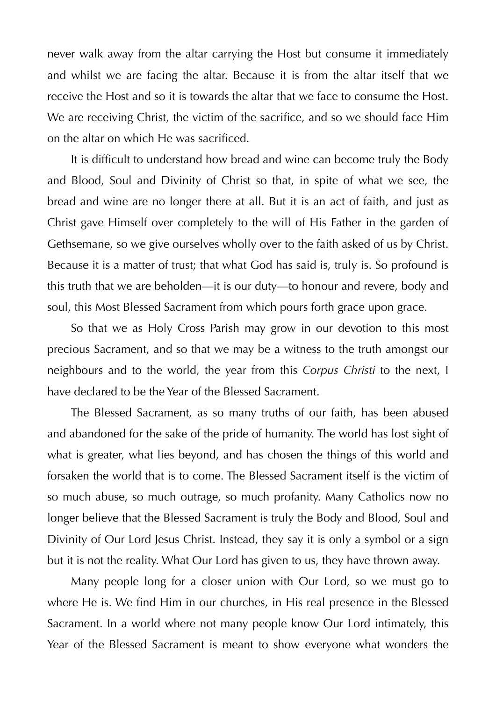never walk away from the altar carrying the Host but consume it immediately and whilst we are facing the altar. Because it is from the altar itself that we receive the Host and so it is towards the altar that we face to consume the Host. We are receiving Christ, the victim of the sacrifice, and so we should face Him on the altar on which He was sacrificed.

 It is difficult to understand how bread and wine can become truly the Body and Blood, Soul and Divinity of Christ so that, in spite of what we see, the bread and wine are no longer there at all. But it is an act of faith, and just as Christ gave Himself over completely to the will of His Father in the garden of Gethsemane, so we give ourselves wholly over to the faith asked of us by Christ. Because it is a matter of trust; that what God has said is, truly is. So profound is this truth that we are beholden—it is our duty—to honour and revere, body and soul, this Most Blessed Sacrament from which pours forth grace upon grace.

 So that we as Holy Cross Parish may grow in our devotion to this most precious Sacrament, and so that we may be a witness to the truth amongst our neighbours and to the world, the year from this *Corpus Christi* to the next, I have declared to be the Year of the Blessed Sacrament.

 The Blessed Sacrament, as so many truths of our faith, has been abused and abandoned for the sake of the pride of humanity. The world has lost sight of what is greater, what lies beyond, and has chosen the things of this world and forsaken the world that is to come. The Blessed Sacrament itself is the victim of so much abuse, so much outrage, so much profanity. Many Catholics now no longer believe that the Blessed Sacrament is truly the Body and Blood, Soul and Divinity of Our Lord Jesus Christ. Instead, they say it is only a symbol or a sign but it is not the reality. What Our Lord has given to us, they have thrown away.

 Many people long for a closer union with Our Lord, so we must go to where He is. We find Him in our churches, in His real presence in the Blessed Sacrament. In a world where not many people know Our Lord intimately, this Year of the Blessed Sacrament is meant to show everyone what wonders the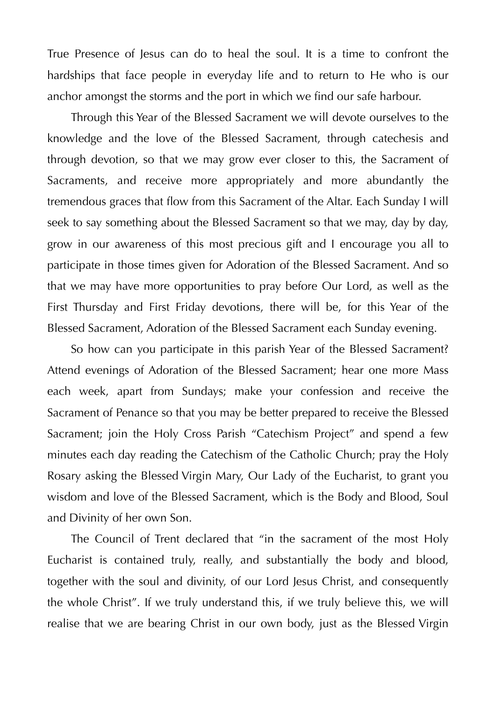True Presence of Jesus can do to heal the soul. It is a time to confront the hardships that face people in everyday life and to return to He who is our anchor amongst the storms and the port in which we find our safe harbour.

 Through this Year of the Blessed Sacrament we will devote ourselves to the knowledge and the love of the Blessed Sacrament, through catechesis and through devotion, so that we may grow ever closer to this, the Sacrament of Sacraments, and receive more appropriately and more abundantly the tremendous graces that flow from this Sacrament of the Altar. Each Sunday I will seek to say something about the Blessed Sacrament so that we may, day by day, grow in our awareness of this most precious gift and I encourage you all to participate in those times given for Adoration of the Blessed Sacrament. And so that we may have more opportunities to pray before Our Lord, as well as the First Thursday and First Friday devotions, there will be, for this Year of the Blessed Sacrament, Adoration of the Blessed Sacrament each Sunday evening.

 So how can you participate in this parish Year of the Blessed Sacrament? Attend evenings of Adoration of the Blessed Sacrament; hear one more Mass each week, apart from Sundays; make your confession and receive the Sacrament of Penance so that you may be better prepared to receive the Blessed Sacrament; join the Holy Cross Parish "Catechism Project" and spend a few minutes each day reading the Catechism of the Catholic Church; pray the Holy Rosary asking the Blessed Virgin Mary, Our Lady of the Eucharist, to grant you wisdom and love of the Blessed Sacrament, which is the Body and Blood, Soul and Divinity of her own Son.

 The Council of Trent declared that "in the sacrament of the most Holy Eucharist is contained truly, really, and substantially the body and blood, together with the soul and divinity, of our Lord Jesus Christ, and consequently the whole Christ". If we truly understand this, if we truly believe this, we will realise that we are bearing Christ in our own body, just as the Blessed Virgin